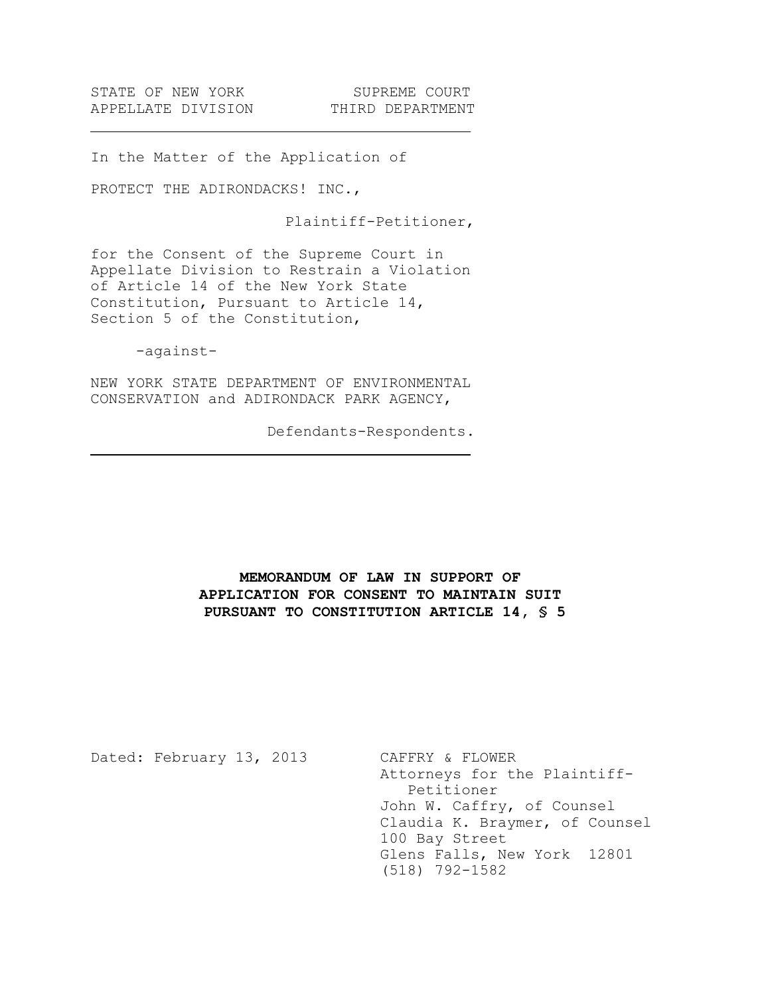In the Matter of the Application of

PROTECT THE ADIRONDACKS! INC.,

Plaintiff-Petitioner,

for the Consent of the Supreme Court in Appellate Division to Restrain a Violation of Article 14 of the New York State Constitution, Pursuant to Article 14, Section 5 of the Constitution,

-against-

NEW YORK STATE DEPARTMENT OF ENVIRONMENTAL CONSERVATION and ADIRONDACK PARK AGENCY,

Defendants-Respondents.

# **MEMORANDUM OF LAW IN SUPPORT OF APPLICATION FOR CONSENT TO MAINTAIN SUIT PURSUANT TO CONSTITUTION ARTICLE 14, § 5**

Dated: February 13, 2013 CAFFRY & FLOWER Attorneys for the Plaintiff-Petitioner John W. Caffry, of Counsel Claudia K. Braymer, of Counsel 100 Bay Street Glens Falls, New York 12801 (518) 792-1582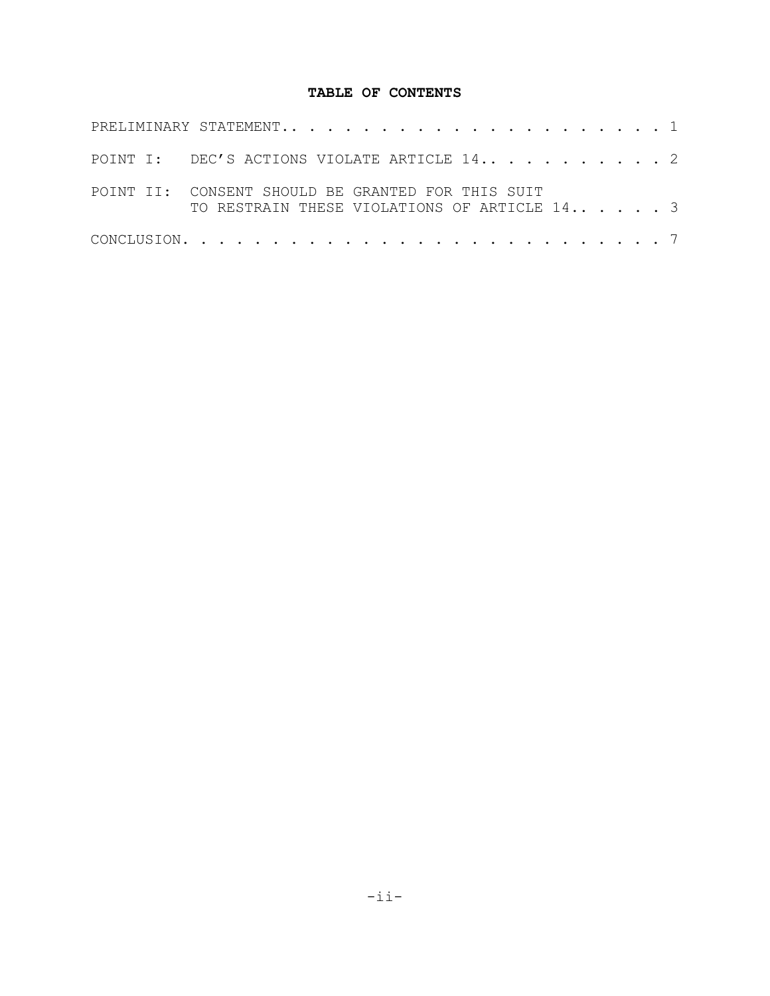# **TABLE OF CONTENTS**

| POINT I: DEC'S ACTIONS VIOLATE ARTICLE 142                                                        |  |
|---------------------------------------------------------------------------------------------------|--|
| POINT II: CONSENT SHOULD BE GRANTED FOR THIS SUIT<br>TO RESTRAIN THESE VIOLATIONS OF ARTICLE 14 3 |  |
|                                                                                                   |  |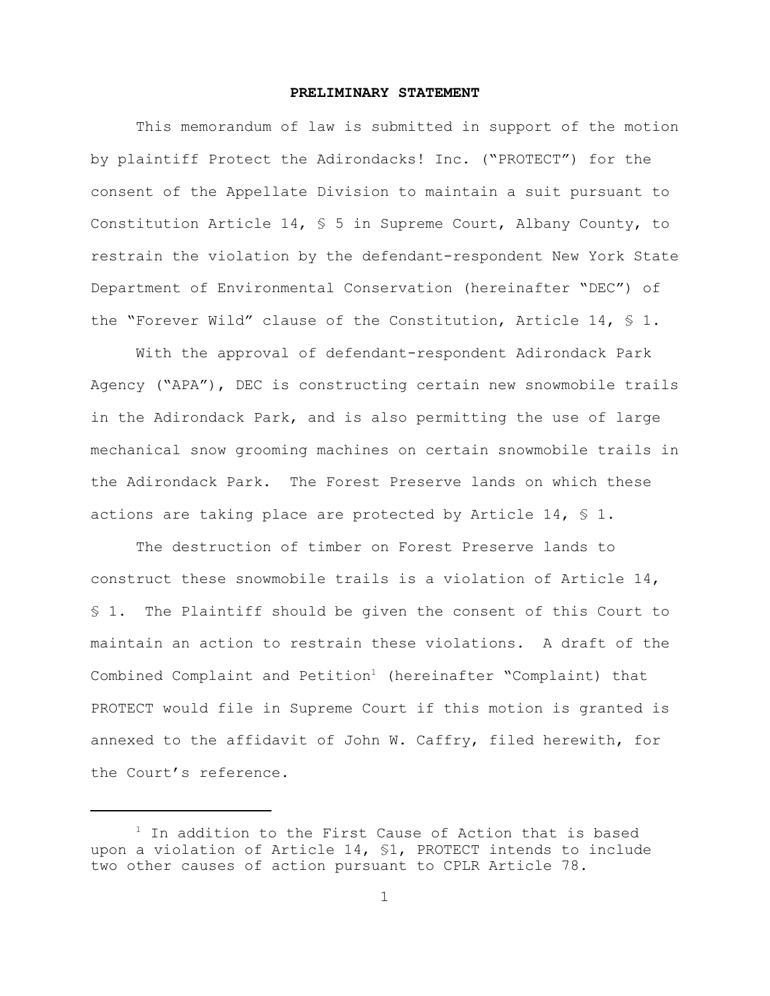### **PRELIMINARY STATEMENT**

This memorandum of law is submitted in support of the motion by plaintiff Protect the Adirondacks! Inc. ("PROTECT") for the consent of the Appellate Division to maintain a suit pursuant to Constitution Article 14, § 5 in Supreme Court, Albany County, to restrain the violation by the defendant-respondent New York State Department of Environmental Conservation (hereinafter "DEC") of the "Forever Wild" clause of the Constitution, Article 14, § 1.

With the approval of defendant-respondent Adirondack Park Agency ("APA"), DEC is constructing certain new snowmobile trails in the Adirondack Park, and is also permitting the use of large mechanical snow grooming machines on certain snowmobile trails in the Adirondack Park. The Forest Preserve lands on which these actions are taking place are protected by Article 14,  $\frac{1}{2}$  1.

The destruction of timber on Forest Preserve lands to construct these snowmobile trails is a violation of Article 14, § 1. The Plaintiff should be given the consent of this Court to maintain an action to restrain these violations. A draft of the Combined Complaint and Petition<sup>1</sup> (hereinafter "Complaint) that PROTECT would file in Supreme Court if this motion is granted is annexed to the affidavit of John W. Caffry, filed herewith, for the Court's reference.

 $1$  In addition to the First Cause of Action that is based upon a violation of Article 14, §1, PROTECT intends to include two other causes of action pursuant to CPLR Article 78.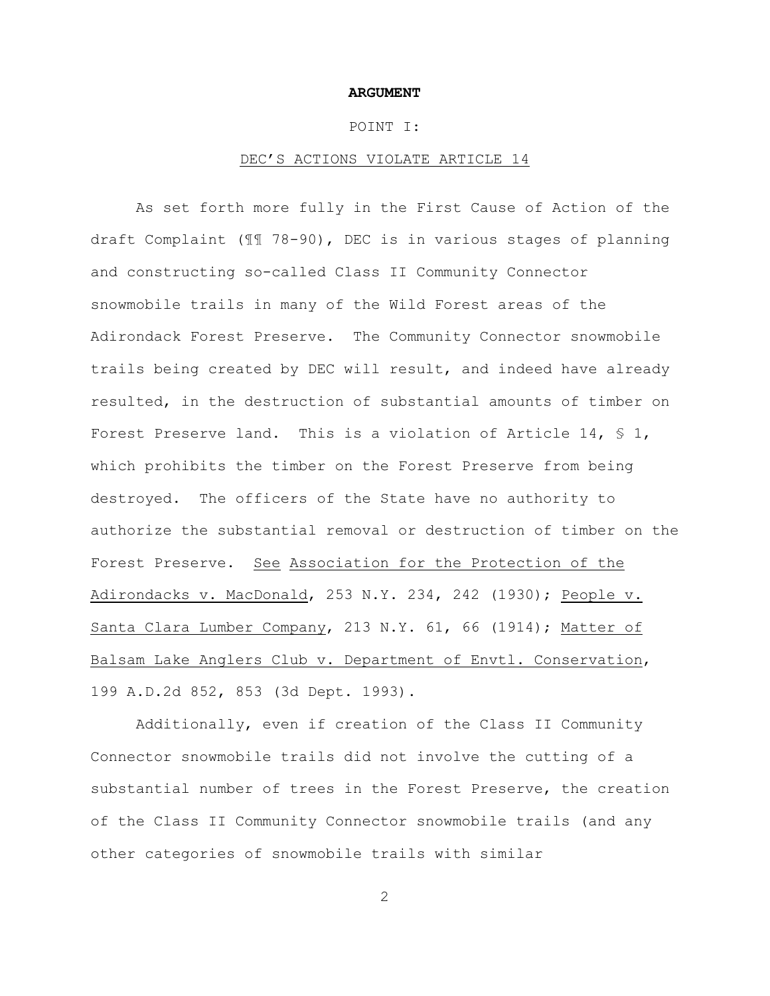#### **ARGUMENT**

### POINT I:

### DEC'S ACTIONS VIOLATE ARTICLE 14

As set forth more fully in the First Cause of Action of the draft Complaint (¶¶ 78-90), DEC is in various stages of planning and constructing so-called Class II Community Connector snowmobile trails in many of the Wild Forest areas of the Adirondack Forest Preserve. The Community Connector snowmobile trails being created by DEC will result, and indeed have already resulted, in the destruction of substantial amounts of timber on Forest Preserve land. This is a violation of Article 14,  $\frac{1}{5}$  1, which prohibits the timber on the Forest Preserve from being destroyed. The officers of the State have no authority to authorize the substantial removal or destruction of timber on the Forest Preserve. See Association for the Protection of the Adirondacks v. MacDonald, 253 N.Y. 234, 242 (1930); People v. Santa Clara Lumber Company, 213 N.Y. 61, 66 (1914); Matter of Balsam Lake Anglers Club v. Department of Envtl. Conservation, 199 A.D.2d 852, 853 (3d Dept. 1993).

Additionally, even if creation of the Class II Community Connector snowmobile trails did not involve the cutting of a substantial number of trees in the Forest Preserve, the creation of the Class II Community Connector snowmobile trails (and any other categories of snowmobile trails with similar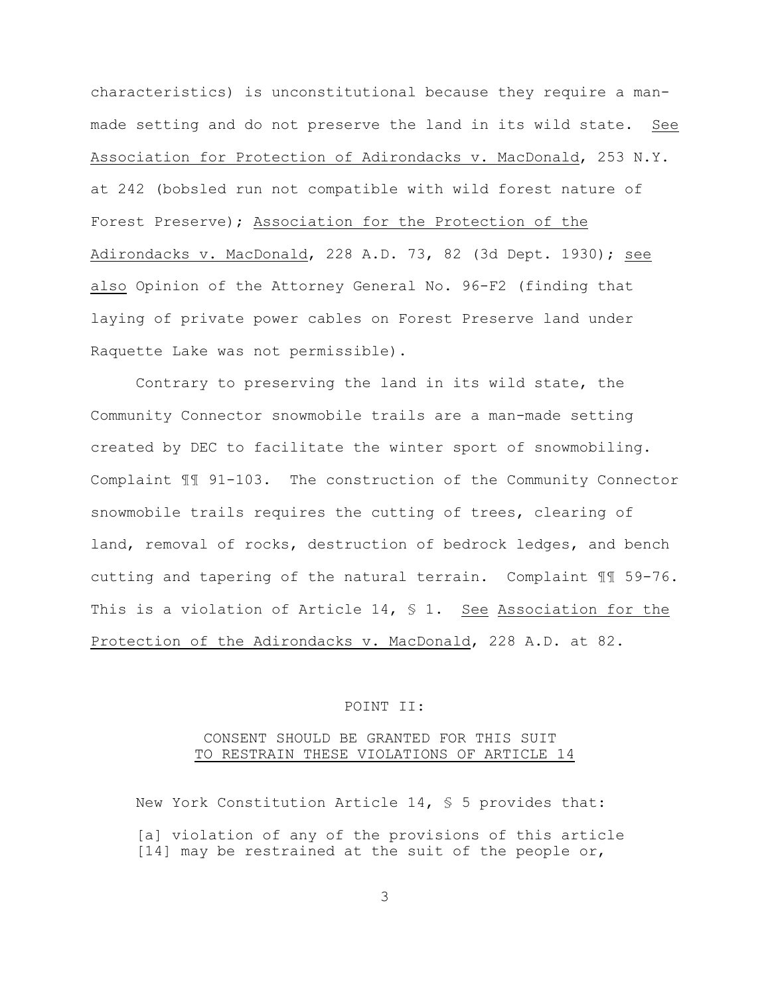characteristics) is unconstitutional because they require a manmade setting and do not preserve the land in its wild state. See Association for Protection of Adirondacks v. MacDonald, 253 N.Y. at 242 (bobsled run not compatible with wild forest nature of Forest Preserve); Association for the Protection of the Adirondacks v. MacDonald, 228 A.D. 73, 82 (3d Dept. 1930); see also Opinion of the Attorney General No. 96-F2 (finding that laying of private power cables on Forest Preserve land under Raquette Lake was not permissible).

Contrary to preserving the land in its wild state, the Community Connector snowmobile trails are a man-made setting created by DEC to facilitate the winter sport of snowmobiling. Complaint ¶¶ 91-103. The construction of the Community Connector snowmobile trails requires the cutting of trees, clearing of land, removal of rocks, destruction of bedrock ledges, and bench cutting and tapering of the natural terrain. Complaint ¶¶ 59-76. This is a violation of Article 14,  $\frac{1}{2}$  1. See Association for the Protection of the Adirondacks v. MacDonald, 228 A.D. at 82.

## POINT II:

## CONSENT SHOULD BE GRANTED FOR THIS SUIT TO RESTRAIN THESE VIOLATIONS OF ARTICLE 14

New York Constitution Article 14, § 5 provides that: [a] violation of any of the provisions of this article [14] may be restrained at the suit of the people or,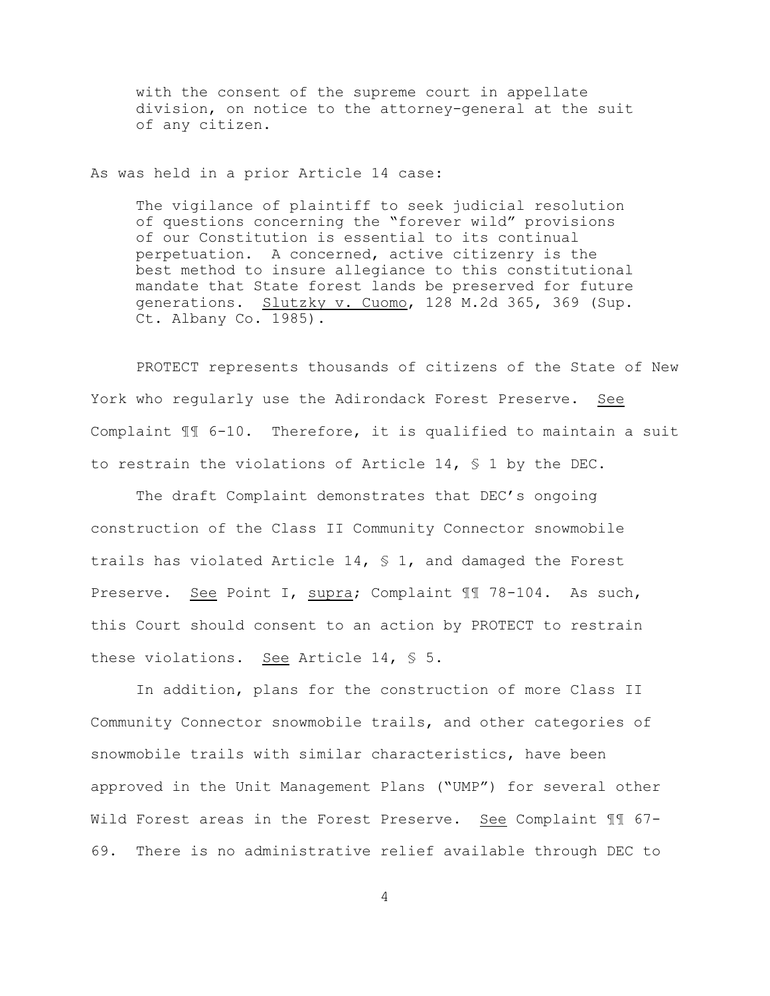with the consent of the supreme court in appellate division, on notice to the attorney-general at the suit of any citizen.

As was held in a prior Article 14 case:

The vigilance of plaintiff to seek judicial resolution of questions concerning the "forever wild" provisions of our Constitution is essential to its continual perpetuation. A concerned, active citizenry is the best method to insure allegiance to this constitutional mandate that State forest lands be preserved for future generations. Slutzky v. Cuomo, 128 M.2d 365, 369 (Sup. Ct. Albany Co. 1985).

PROTECT represents thousands of citizens of the State of New York who regularly use the Adirondack Forest Preserve. See Complaint ¶¶ 6-10. Therefore, it is qualified to maintain a suit to restrain the violations of Article 14, § 1 by the DEC.

The draft Complaint demonstrates that DEC's ongoing construction of the Class II Community Connector snowmobile trails has violated Article 14, § 1, and damaged the Forest Preserve. See Point I, supra; Complaint ¶¶ 78-104. As such, this Court should consent to an action by PROTECT to restrain these violations. See Article 14, § 5.

In addition, plans for the construction of more Class II Community Connector snowmobile trails, and other categories of snowmobile trails with similar characteristics, have been approved in the Unit Management Plans ("UMP") for several other Wild Forest areas in the Forest Preserve. See Complaint ¶¶ 67- 69. There is no administrative relief available through DEC to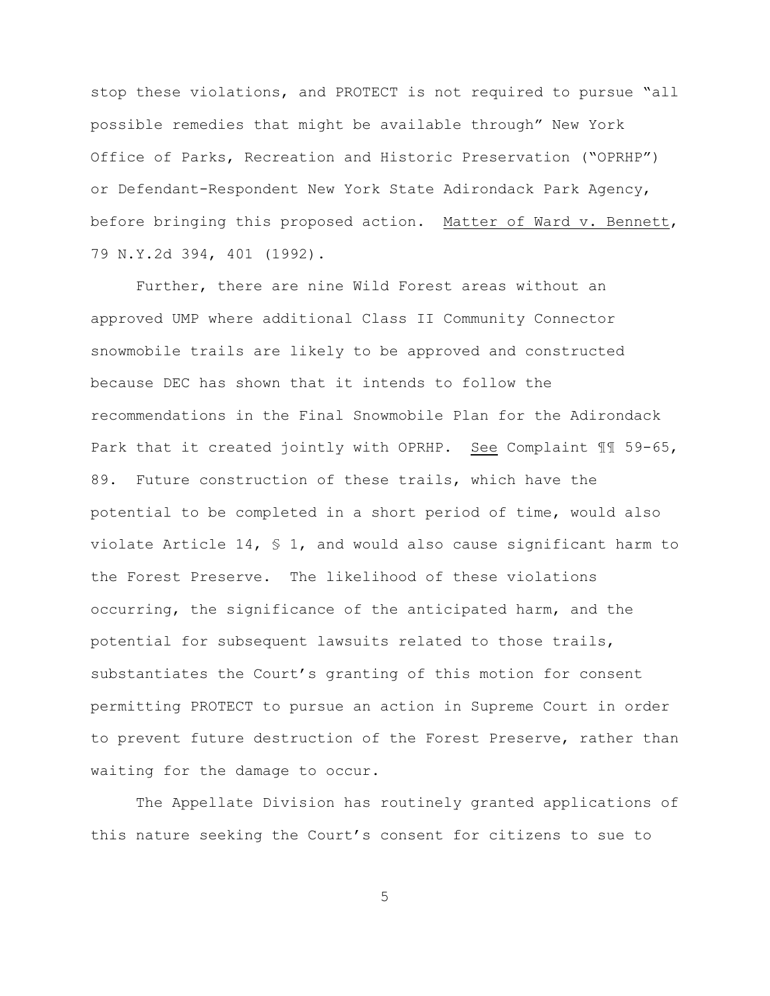stop these violations, and PROTECT is not required to pursue "all possible remedies that might be available through" New York Office of Parks, Recreation and Historic Preservation ("OPRHP") or Defendant-Respondent New York State Adirondack Park Agency, before bringing this proposed action. Matter of Ward v. Bennett, 79 N.Y.2d 394, 401 (1992).

Further, there are nine Wild Forest areas without an approved UMP where additional Class II Community Connector snowmobile trails are likely to be approved and constructed because DEC has shown that it intends to follow the recommendations in the Final Snowmobile Plan for the Adirondack Park that it created jointly with OPRHP. See Complaint ¶¶ 59-65, 89. Future construction of these trails, which have the potential to be completed in a short period of time, would also violate Article 14,  $\frac{1}{5}$  1, and would also cause significant harm to the Forest Preserve. The likelihood of these violations occurring, the significance of the anticipated harm, and the potential for subsequent lawsuits related to those trails, substantiates the Court's granting of this motion for consent permitting PROTECT to pursue an action in Supreme Court in order to prevent future destruction of the Forest Preserve, rather than waiting for the damage to occur.

The Appellate Division has routinely granted applications of this nature seeking the Court's consent for citizens to sue to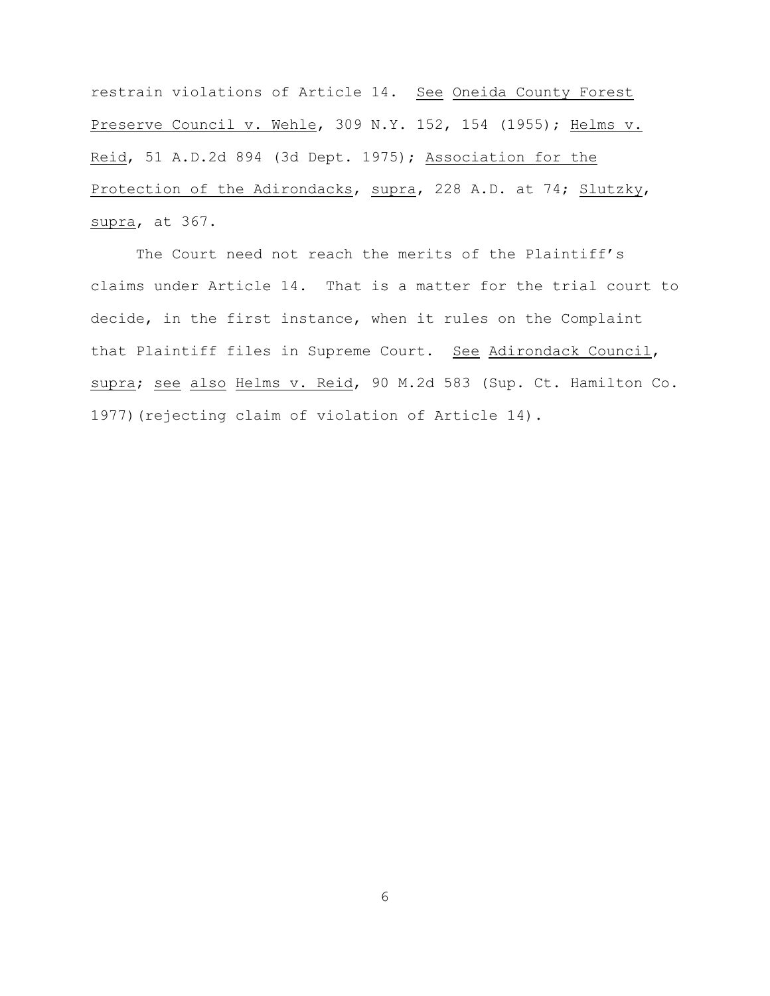restrain violations of Article 14. See Oneida County Forest Preserve Council v. Wehle, 309 N.Y. 152, 154 (1955); Helms v. Reid, 51 A.D.2d 894 (3d Dept. 1975); Association for the Protection of the Adirondacks, supra, 228 A.D. at 74; Slutzky, supra, at 367.

The Court need not reach the merits of the Plaintiff's claims under Article 14. That is a matter for the trial court to decide, in the first instance, when it rules on the Complaint that Plaintiff files in Supreme Court. See Adirondack Council, supra; see also Helms v. Reid, 90 M.2d 583 (Sup. Ct. Hamilton Co. 1977)(rejecting claim of violation of Article 14).